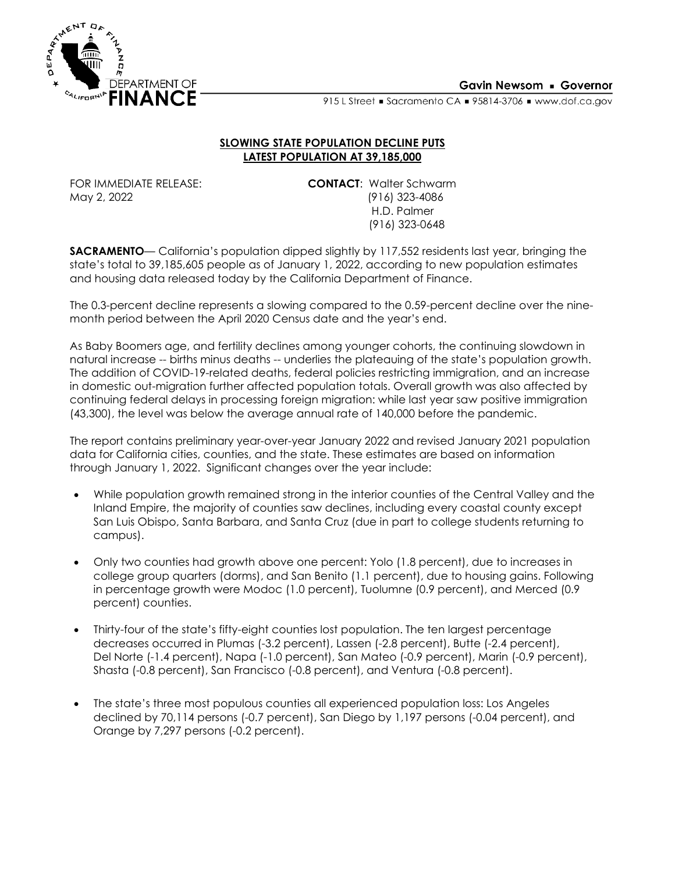

#### **Gavin Newsom • Governor**

915 L Street Sacramento CA = 95814-3706 = www.dof.ca.gov

#### **SLOWING STATE POPULATION DECLINE PUTS LATEST POPULATION AT 39,185,000**

FOR IMMEDIATE RELEASE:<br>May 2, 2022 (916) 123-4086 (916) 323-4086 H.D. Palmer (916) 323-0648

**SACRAMENTO**— California's population dipped slightly by 117,552 residents last year, bringing the state's total to 39,185,605 people as of January 1, 2022, according to new population estimates and housing data released today by the California Department of Finance.

The 0.3-percent decline represents a slowing compared to the 0.59-percent decline over the ninemonth period between the April 2020 Census date and the year's end.

As Baby Boomers age, and fertility declines among younger cohorts, the continuing slowdown in natural increase -- births minus deaths -- underlies the plateauing of the state's population growth. The addition of COVID-19-related deaths, federal policies restricting immigration, and an increase in domestic out-migration further affected population totals. Overall growth was also affected by continuing federal delays in processing foreign migration: while last year saw positive immigration (43,300), the level was below the average annual rate of 140,000 before the pandemic.

The report contains preliminary year-over-year January 2022 and revised January 2021 population data for California cities, counties, and the state. These estimates are based on information through January 1, 2022. Significant changes over the year include:

- While population growth remained strong in the interior counties of the Central Valley and the Inland Empire, the majority of counties saw declines, including every coastal county except San Luis Obispo, Santa Barbara, and Santa Cruz (due in part to college students returning to campus).
- Only two counties had growth above one percent: Yolo (1.8 percent), due to increases in college group quarters (dorms), and San Benito (1.1 percent), due to housing gains. Following in percentage growth were Modoc (1.0 percent), Tuolumne (0.9 percent), and Merced (0.9 percent) counties.
- Thirty-four of the state's fifty-eight counties lost population. The ten largest percentage decreases occurred in Plumas (-3.2 percent), Lassen (-2.8 percent), Butte (-2.4 percent), Del Norte (-1.4 percent), Napa (-1.0 percent), San Mateo (-0.9 percent), Marin (-0.9 percent), Shasta (-0.8 percent), San Francisco (-0.8 percent), and Ventura (-0.8 percent).
- The state's three most populous counties all experienced population loss: Los Angeles declined by 70,114 persons (-0.7 percent), San Diego by 1,197 persons (-0.04 percent), and Orange by 7,297 persons (-0.2 percent).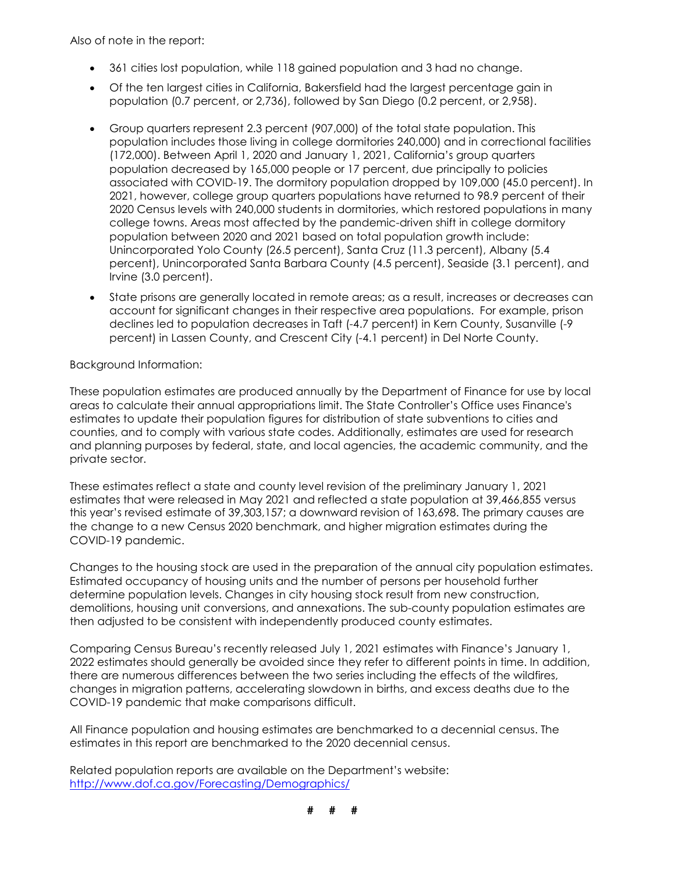Also of note in the report:

- 361 cities lost population, while 118 gained population and 3 had no change.
- Of the ten largest cities in California, Bakersfield had the largest percentage gain in population (0.7 percent, or 2,736), followed by San Diego (0.2 percent, or 2,958).
- Group quarters represent 2.3 percent (907,000) of the total state population. This population includes those living in college dormitories 240,000) and in correctional facilities (172,000). Between April 1, 2020 and January 1, 2021, California's group quarters population decreased by 165,000 people or 17 percent, due principally to policies associated with COVID-19. The dormitory population dropped by 109,000 (45.0 percent). In 2021, however, college group quarters populations have returned to 98.9 percent of their 2020 Census levels with 240,000 students in dormitories, which restored populations in many college towns. Areas most affected by the pandemic-driven shift in college dormitory population between 2020 and 2021 based on total population growth include: Unincorporated Yolo County (26.5 percent), Santa Cruz (11.3 percent), Albany (5.4 percent), Unincorporated Santa Barbara County (4.5 percent), Seaside (3.1 percent), and Irvine (3.0 percent).
- State prisons are generally located in remote areas; as a result, increases or decreases can account for significant changes in their respective area populations. For example, prison declines led to population decreases in Taft (-4.7 percent) in Kern County, Susanville (-9 percent) in Lassen County, and Crescent City (-4.1 percent) in Del Norte County.

Background Information:

These population estimates are produced annually by the Department of Finance for use by local areas to calculate their annual appropriations limit. The State Controller's Office uses Finance's estimates to update their population figures for distribution of state subventions to cities and counties, and to comply with various state codes. Additionally, estimates are used for research and planning purposes by federal, state, and local agencies, the academic community, and the private sector.

These estimates reflect a state and county level revision of the preliminary January 1, 2021 estimates that were released in May 2021 and reflected a state population at 39,466,855 versus this year's revised estimate of 39,303,157; a downward revision of 163,698. The primary causes are the change to a new Census 2020 benchmark, and higher migration estimates during the COVID-19 pandemic.

Changes to the housing stock are used in the preparation of the annual city population estimates. Estimated occupancy of housing units and the number of persons per household further determine population levels. Changes in city housing stock result from new construction, demolitions, housing unit conversions, and annexations. The sub-county population estimates are then adjusted to be consistent with independently produced county estimates.

Comparing Census Bureau's recently released July 1, 2021 estimates with Finance's January 1, 2022 estimates should generally be avoided since they refer to different points in time. In addition, there are numerous differences between the two series including the effects of the wildfires, changes in migration patterns, accelerating slowdown in births, and excess deaths due to the COVID-19 pandemic that make comparisons difficult.

All Finance population and housing estimates are benchmarked to a decennial census. The estimates in this report are benchmarked to the 2020 decennial census.

Related population reports are available on the Department's website: <http://www.dof.ca.gov/Forecasting/Demographics/>

**# # #**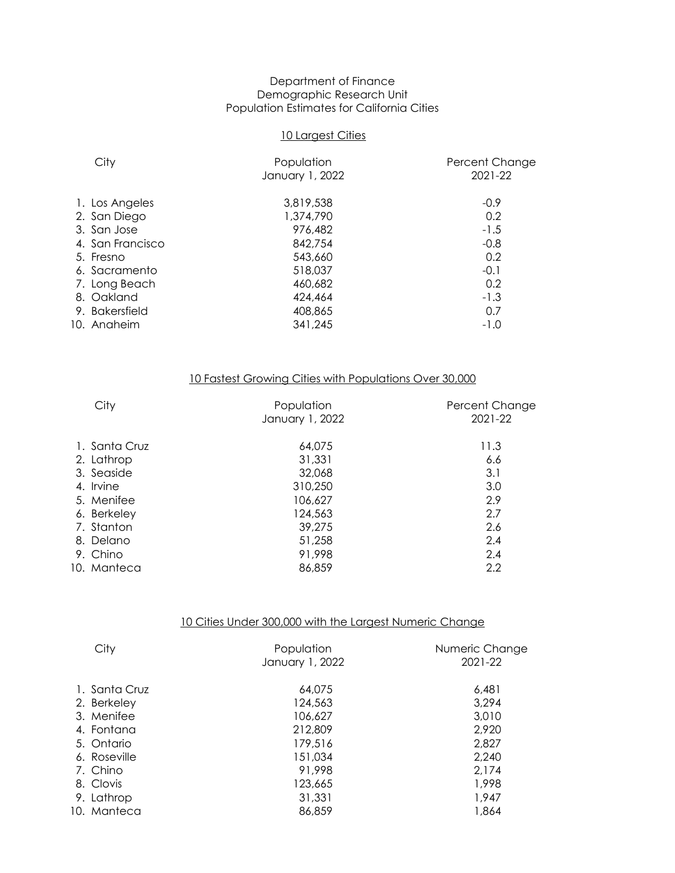#### Department of Finance Demographic Research Unit Population Estimates for California Cities

#### 10 Largest Cities

| City             | Population<br>January 1, 2022 | Percent Change<br>2021-22 |
|------------------|-------------------------------|---------------------------|
| 1. Los Angeles   | 3,819,538                     | $-0.9$                    |
| 2. San Diego     | 1,374,790                     | 0.2                       |
| 3. San Jose      | 976,482                       | $-1.5$                    |
| 4. San Francisco | 842,754                       | $-0.8$                    |
| 5. Fresno        | 543,660                       | 0.2                       |
| 6. Sacramento    | 518,037                       | $-0.1$                    |
| 7. Long Beach    | 460,682                       | 0.2                       |
| 8. Oakland       | 424,464                       | $-1.3$                    |
| 9. Bakersfield   | 408,865                       | 0.7                       |
| 10. Anaheim      | 341,245                       | $-1.0$                    |
|                  |                               |                           |

# 10 Fastest Growing Cities with Populations Over 30,000

| City          | Population<br>January 1, 2022 | Percent Change<br>2021-22 |
|---------------|-------------------------------|---------------------------|
| 1. Santa Cruz | 64,075                        | 11.3                      |
| 2. Lathrop    | 31,331                        | 6.6                       |
| 3. Seaside    | 32,068                        | 3.1                       |
| 4. Irvine     | 310,250                       | 3.0                       |
| 5. Menifee    | 106,627                       | 2.9                       |
| 6. Berkeley   | 124,563                       | 2.7                       |
| 7. Stanton    | 39,275                        | 2.6                       |
| 8. Delano     | 51,258                        | 2.4                       |
| 9. Chino      | 91,998                        | 2.4                       |
| 10. Manteca   | 86,859                        | 2.2                       |
|               |                               |                           |

#### 10 Cities Under 300,000 with the Largest Numeric Change

| City          | Population<br>January 1, 2022 | Numeric Change<br>2021-22 |
|---------------|-------------------------------|---------------------------|
| 1. Santa Cruz | 64,075                        | 6.481                     |
| 2. Berkeley   | 124,563                       | 3,294                     |
| 3. Menifee    | 106,627                       | 3,010                     |
| 4. Fontana    | 212,809                       | 2,920                     |
| 5. Ontario    | 179,516                       | 2,827                     |
| 6. Roseville  | 151,034                       | 2,240                     |
| 7. Chino      | 91,998                        | 2,174                     |
| 8. Clovis     | 123,665                       | 1,998                     |
| 9. Lathrop    | 31,331                        | 1,947                     |
| 10. Manteca   | 86,859                        | 1,864                     |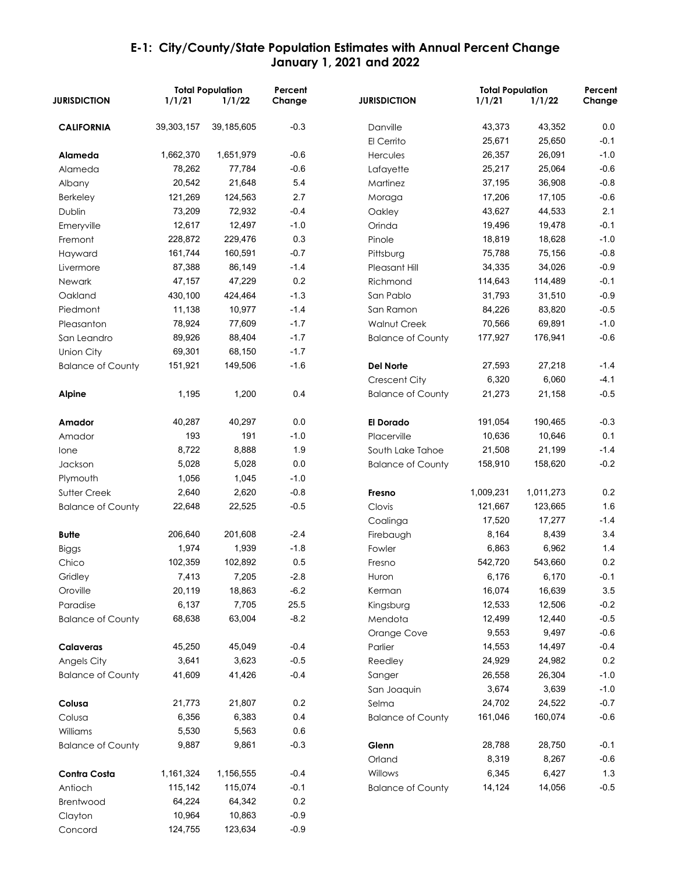|                          |              | <b>Total Population</b> | Percent |                          | <b>Total Population</b> |           | Percent |
|--------------------------|--------------|-------------------------|---------|--------------------------|-------------------------|-----------|---------|
| <b>JURISDICTION</b>      | 1/1/21       | 1/1/22                  | Change  | <b>JURISDICTION</b>      | 1/1/21                  | 1/1/22    | Change  |
| <b>CALIFORNIA</b>        | 39, 303, 157 | 39, 185, 605            | $-0.3$  | Danville                 | 43,373                  | 43,352    | 0.0     |
|                          |              |                         |         | El Cerrito               | 25,671                  | 25,650    | $-0.1$  |
| Alameda                  | 1,662,370    | 1,651,979               | $-0.6$  | Hercules                 | 26,357                  | 26,091    | $-1.0$  |
| Alameda                  | 78,262       | 77,784                  | $-0.6$  | Lafayette                | 25,217                  | 25,064    | $-0.6$  |
| Albany                   | 20,542       | 21,648                  | 5.4     | Martinez                 | 37,195                  | 36,908    | $-0.8$  |
| <b>Berkeley</b>          | 121,269      | 124,563                 | 2.7     | Moraga                   | 17,206                  | 17,105    | $-0.6$  |
| Dublin                   | 73,209       | 72,932                  | $-0.4$  | Oakley                   | 43,627                  | 44,533    | 2.1     |
| Emeryville               | 12,617       | 12,497                  | $-1.0$  | Orinda                   | 19,496                  | 19,478    | $-0.1$  |
| Fremont                  | 228,872      | 229,476                 | 0.3     | Pinole                   | 18,819                  | 18,628    | $-1.0$  |
| Hayward                  | 161,744      | 160,591                 | $-0.7$  | Pittsburg                | 75,788                  | 75,156    | $-0.8$  |
| Livermore                | 87,388       | 86,149                  | $-1.4$  | Pleasant Hill            | 34,335                  | 34,026    | $-0.9$  |
| <b>Newark</b>            | 47,157       | 47,229                  | 0.2     | Richmond                 | 114,643                 | 114,489   | $-0.1$  |
| Oakland                  | 430,100      | 424,464                 | $-1.3$  | San Pablo                | 31,793                  | 31,510    | $-0.9$  |
| Piedmont                 | 11,138       | 10,977                  | $-1.4$  | San Ramon                | 84,226                  | 83,820    | $-0.5$  |
| Pleasanton               | 78,924       | 77,609                  | $-1.7$  | Walnut Creek             | 70,566                  | 69,891    | $-1.0$  |
| San Leandro              | 89,926       | 88,404                  | $-1.7$  | <b>Balance of County</b> | 177,927                 | 176,941   | $-0.6$  |
| Union City               | 69,301       | 68,150                  | $-1.7$  |                          |                         |           |         |
| <b>Balance of County</b> | 151,921      | 149,506                 | $-1.6$  | <b>Del Norte</b>         | 27,593                  | 27,218    | $-1.4$  |
|                          |              |                         |         | Crescent City            | 6,320                   | 6,060     | $-4.1$  |
| Alpine                   | 1,195        | 1,200                   | 0.4     | <b>Balance of County</b> | 21,273                  | 21,158    | $-0.5$  |
|                          |              |                         |         |                          |                         |           |         |
| Amador                   | 40,287       | 40,297                  | 0.0     | <b>El Dorado</b>         | 191,054                 | 190,465   | $-0.3$  |
| Amador                   | 193          | 191                     | $-1.0$  | Placerville              | 10,636                  | 10,646    | 0.1     |
| lone                     | 8,722        | 8,888                   | 1.9     | South Lake Tahoe         | 21,508                  | 21,199    | $-1.4$  |
| Jackson                  | 5,028        | 5,028                   | 0.0     | <b>Balance of County</b> | 158,910                 | 158,620   | $-0.2$  |
| Plymouth                 | 1,056        | 1,045                   | $-1.0$  |                          |                         |           |         |
| Sutter Creek             | 2,640        | 2,620                   | $-0.8$  | Fresno                   | 1,009,231               | 1,011,273 | 0.2     |
| <b>Balance of County</b> | 22,648       | 22,525                  | $-0.5$  | Clovis                   | 121,667                 | 123,665   | 1.6     |
|                          |              |                         |         | Coalinga                 | 17,520                  | 17,277    | $-1.4$  |
| Butte                    | 206,640      | 201,608                 | $-2.4$  | Firebaugh                | 8,164                   | 8,439     | 3.4     |
| <b>Biggs</b>             | 1,974        | 1,939                   | $-1.8$  | Fowler                   | 6,863                   | 6,962     | 1.4     |
| Chico                    | 102,359      | 102,892                 | 0.5     | Fresno                   | 542,720                 | 543,660   | 0.2     |
| Gridley                  | 7.413        | 7,205                   | $-2.8$  | Huron                    | 6,176                   | 6,170     | $-0.1$  |
| Oroville                 | 20,119       | 18,863                  | $-6.2$  | Kerman                   | 16,074                  | 16,639    | 3.5     |
| Paradise                 | 6,137        | 7,705                   | 25.5    | Kingsburg                | 12,533                  | 12,506    | $-0.2$  |
| <b>Balance of County</b> | 68,638       | 63,004                  | $-8.2$  | Mendota                  | 12,499                  | 12,440    | $-0.5$  |
|                          |              |                         |         | Orange Cove              | 9,553                   | 9,497     | $-0.6$  |
| Calaveras                | 45,250       | 45,049                  | $-0.4$  | Parlier                  | 14,553                  | 14,497    | $-0.4$  |
| Angels City              | 3,641        | 3,623                   | $-0.5$  | Reedley                  | 24,929                  | 24,982    | 0.2     |
| <b>Balance of County</b> | 41,609       | 41,426                  | $-0.4$  | Sanger                   | 26,558                  | 26,304    | $-1.0$  |
|                          |              |                         |         | San Joaquin              | 3,674                   | 3,639     | $-1.0$  |
| Colusa                   | 21,773       | 21,807                  | 0.2     | Selma                    | 24,702                  | 24,522    | $-0.7$  |
| Colusa                   | 6,356        | 6,383                   | 0.4     | <b>Balance of County</b> | 161,046                 | 160,074   | $-0.6$  |
| Williams                 | 5,530        | 5,563                   | 0.6     |                          |                         |           |         |
| <b>Balance of County</b> | 9,887        | 9,861                   | $-0.3$  | Glenn                    | 28,788                  | 28,750    | $-0.1$  |
|                          |              |                         |         | Orland                   | 8,319                   | 8,267     | $-0.6$  |
| Contra Costa             | 1,161,324    | 1,156,555               | $-0.4$  | Willows                  | 6,345                   | 6,427     | 1.3     |
| Antioch                  | 115,142      | 115,074                 | $-0.1$  | <b>Balance of County</b> | 14,124                  | 14,056    | $-0.5$  |
| Brentwood                | 64,224       | 64,342                  | 0.2     |                          |                         |           |         |
| Clayton                  | 10,964       | 10,863                  | $-0.9$  |                          |                         |           |         |
| Concord                  | 124,755      | 123,634                 | $-0.9$  |                          |                         |           |         |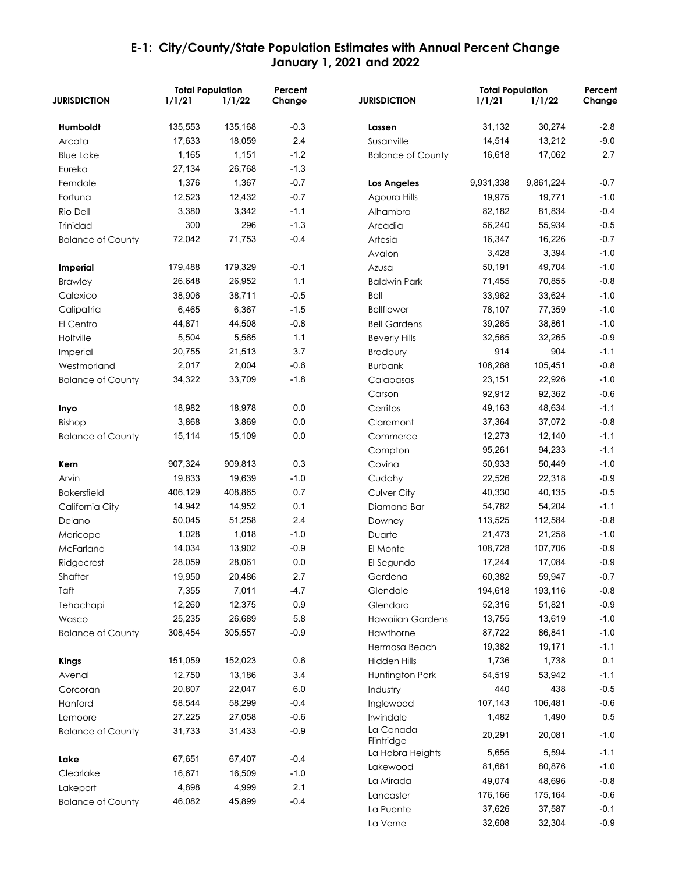|                          | <b>Total Population</b> |         | Percent |                          | <b>Total Population</b> |           | Percent |
|--------------------------|-------------------------|---------|---------|--------------------------|-------------------------|-----------|---------|
| <b>JURISDICTION</b>      | 1/1/21                  | 1/1/22  | Change  | <b>JURISDICTION</b>      | 1/1/21                  | 1/1/22    | Change  |
| Humboldt                 | 135,553                 | 135,168 | $-0.3$  | Lassen                   | 31,132                  | 30,274    | $-2.8$  |
| Arcata                   | 17,633                  | 18,059  | 2.4     | Susanville               | 14,514                  | 13,212    | $-9.0$  |
| <b>Blue Lake</b>         | 1,165                   | 1,151   | $-1.2$  | <b>Balance of County</b> | 16,618                  | 17,062    | 2.7     |
| Eureka                   | 27,134                  | 26,768  | $-1.3$  |                          |                         |           |         |
| Ferndale                 | 1,376                   | 1,367   | $-0.7$  | Los Angeles              | 9,931,338               | 9,861,224 | $-0.7$  |
| Fortuna                  | 12,523                  | 12,432  | $-0.7$  | Agoura Hills             | 19,975                  | 19,771    | $-1.0$  |
| Rio Dell                 | 3,380                   | 3,342   | $-1.1$  | Alhambra                 | 82,182                  | 81,834    | $-0.4$  |
| Trinidad                 | 300                     | 296     | $-1.3$  | Arcadia                  | 56,240                  | 55,934    | $-0.5$  |
| <b>Balance of County</b> | 72,042                  | 71,753  | $-0.4$  | Artesia                  | 16,347                  | 16,226    | $-0.7$  |
|                          |                         |         |         | Avalon                   | 3,428                   | 3,394     | $-1.0$  |
| <b>Imperial</b>          | 179,488                 | 179,329 | $-0.1$  | Azusa                    | 50,191                  | 49,704    | $-1.0$  |
| <b>Brawley</b>           | 26,648                  | 26,952  | 1.1     | <b>Baldwin Park</b>      | 71,455                  | 70,855    | $-0.8$  |
| Calexico                 | 38,906                  | 38,711  | $-0.5$  | Bell                     | 33,962                  | 33,624    | $-1.0$  |
| Calipatria               | 6,465                   | 6,367   | $-1.5$  | <b>Bellflower</b>        | 78,107                  | 77,359    | $-1.0$  |
| El Centro                | 44,871                  | 44,508  | $-0.8$  | <b>Bell Gardens</b>      | 39,265                  | 38,861    | $-1.0$  |
| Holtville                | 5,504                   | 5,565   | 1.1     | <b>Beverly Hills</b>     | 32,565                  | 32,265    | $-0.9$  |
| Imperial                 | 20,755                  | 21,513  | 3.7     | Bradbury                 | 914                     | 904       | $-1.1$  |
| Westmorland              | 2,017                   | 2,004   | $-0.6$  | <b>Burbank</b>           | 106,268                 | 105,451   | $-0.8$  |
| <b>Balance of County</b> | 34,322                  | 33,709  | $-1.8$  | Calabasas                | 23,151                  | 22,926    | $-1.0$  |
|                          |                         |         |         | Carson                   | 92,912                  | 92,362    | $-0.6$  |
| Inyo                     | 18,982                  | 18,978  | 0.0     | Cerritos                 | 49,163                  | 48,634    | $-1.1$  |
| Bishop                   | 3,868                   | 3,869   | 0.0     | Claremont                | 37,364                  | 37,072    | $-0.8$  |
| <b>Balance of County</b> | 15,114                  | 15,109  | 0.0     | Commerce                 | 12,273                  | 12,140    | $-1.1$  |
|                          |                         |         |         | Compton                  | 95,261                  | 94,233    | $-1.1$  |
| Kern                     | 907,324                 | 909,813 | 0.3     | Covina                   | 50,933                  | 50,449    | $-1.0$  |
| Arvin                    | 19,833                  | 19,639  | $-1.0$  | Cudahy                   | 22,526                  | 22,318    | $-0.9$  |
| <b>Bakersfield</b>       | 406,129                 | 408,865 | 0.7     | Culver City              | 40,330                  | 40,135    | $-0.5$  |
| California City          | 14,942                  | 14,952  | 0.1     | Diamond Bar              | 54,782                  | 54,204    | $-1.1$  |
| Delano                   | 50,045                  | 51,258  | 2.4     | Downey                   | 113,525                 | 112,584   | $-0.8$  |
| Maricopa                 | 1,028                   | 1,018   | $-1.0$  | Duarte                   | 21,473                  | 21,258    | $-1.0$  |
| McFarland                | 14,034                  | 13,902  | $-0.9$  | El Monte                 | 108,728                 | 107,706   | $-0.9$  |
| Ridgecrest               | 28,059                  | 28,061  | 0.0     | El Segundo               | 17,244                  | 17,084    | $-0.9$  |
| Shafter                  | 19,950                  | 20,486  | 2.7     | Gardena                  | 60,382                  | 59,947    | $-0.7$  |
| Taft                     | 7,355                   | 7,011   | $-4.7$  | Glendale                 | 194,618                 | 193,116   | $-0.8$  |
| Tehachapi                | 12,260                  | 12,375  | 0.9     | Glendora                 | 52,316                  | 51,821    | $-0.9$  |
| Wasco                    | 25,235                  | 26,689  | 5.8     | <b>Hawaiian Gardens</b>  | 13,755                  | 13,619    | $-1.0$  |
| <b>Balance of County</b> | 308,454                 | 305,557 | $-0.9$  | Hawthorne                | 87,722                  | 86,841    | $-1.0$  |
|                          |                         |         |         | Hermosa Beach            | 19,382                  | 19,171    | $-1.1$  |
| <b>Kings</b>             | 151,059                 | 152,023 | 0.6     | <b>Hidden Hills</b>      | 1,736                   | 1,738     | 0.1     |
| Avenal                   | 12,750                  | 13,186  | 3.4     | Huntington Park          | 54,519                  | 53,942    | $-1.1$  |
| Corcoran                 | 20,807                  | 22,047  | 6.0     | Industry                 | 440                     | 438       | $-0.5$  |
| Hanford                  | 58,544                  | 58,299  | $-0.4$  | Inglewood                | 107,143                 | 106,481   | $-0.6$  |
| Lemoore                  | 27,225                  | 27,058  | $-0.6$  | Irwindale                | 1,482                   | 1,490     | 0.5     |
| <b>Balance of County</b> | 31,733                  | 31,433  | $-0.9$  | La Canada<br>Flintridge  | 20,291                  | 20,081    | $-1.0$  |
| Lake                     | 67,651                  | 67,407  | $-0.4$  | La Habra Heights         | 5,655                   | 5,594     | $-1.1$  |
| Clearlake                | 16,671                  | 16,509  | $-1.0$  | Lakewood                 | 81,681                  | 80,876    | $-1.0$  |
| Lakeport                 | 4,898                   | 4,999   | 2.1     | La Mirada                | 49,074                  | 48,696    | $-0.8$  |
| <b>Balance of County</b> | 46,082                  | 45,899  | $-0.4$  | Lancaster                | 176,166                 | 175,164   | $-0.6$  |
|                          |                         |         |         | La Puente                | 37,626                  | 37,587    | $-0.1$  |
|                          |                         |         |         | La Verne                 | 32,608                  | 32,304    | $-0.9$  |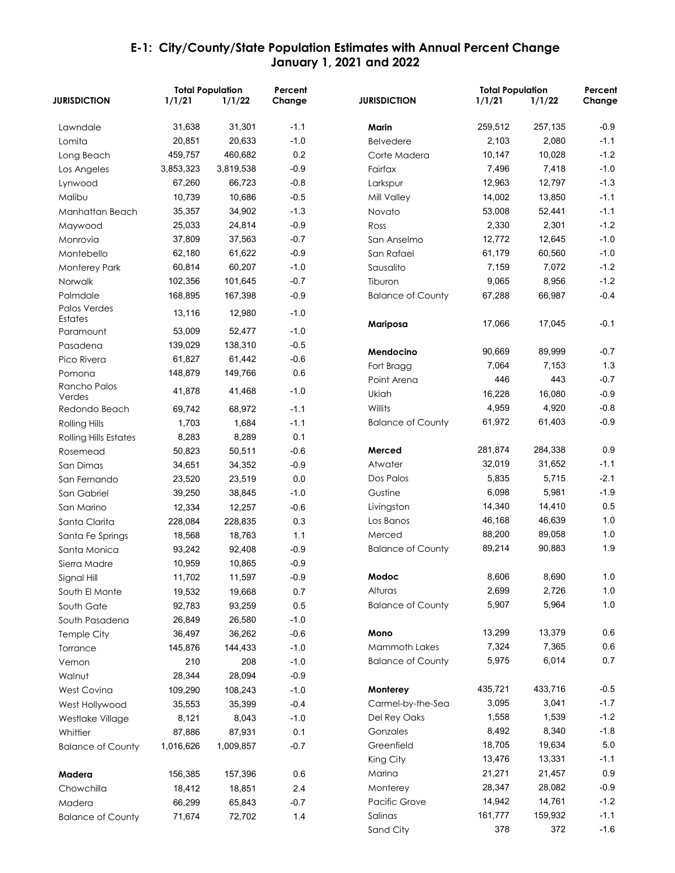| <b>JURISDICTION</b>          | 1/1/21    | <b>Total Population</b><br>1/1/22 | Percent<br>Change | <b>JURISDICTION</b>          | <b>Total Population</b><br>1/1/21 | 1/1/22          | Percent<br>Change |
|------------------------------|-----------|-----------------------------------|-------------------|------------------------------|-----------------------------------|-----------------|-------------------|
| Lawndale                     | 31,638    | 31,301                            | $-1.1$            | Marin                        | 259,512                           | 257,135         | $-0.9$            |
| Lomita                       | 20,851    | 20,633                            | $-1.0$            | <b>Belvedere</b>             | 2,103                             | 2,080           | $-1.1$            |
| Long Beach                   | 459,757   | 460,682                           | 0.2               | Corte Madera                 | 10,147                            | 10,028          | $-1.2$            |
| Los Angeles                  | 3,853,323 | 3,819,538                         | $-0.9$            | Fairfax                      | 7,496                             | 7,418           | $-1.0$            |
| Lynwood                      | 67,260    | 66,723                            | $-0.8$            | Larkspur                     | 12,963                            | 12,797          | $-1.3$            |
| Malibu                       | 10,739    | 10,686                            | $-0.5$            | Mill Valley                  | 14,002                            | 13,850          | $-1.1$            |
| Manhattan Beach              | 35,357    | 34,902                            | $-1.3$            | Novato                       | 53,008                            | 52,441          | $-1.1$            |
| Maywood                      | 25,033    | 24,814                            | $-0.9$            | Ross                         | 2,330                             | 2,301           | $-1.2$            |
| Monrovia                     | 37,809    | 37,563                            | $-0.7$            | San Anselmo                  | 12,772                            | 12,645          | $-1.0$            |
| Montebello                   | 62,180    | 61,622                            | $-0.9$            | San Rafael                   | 61,179                            | 60,560          | $-1.0$            |
| <b>Monterey Park</b>         | 60,814    | 60,207                            | $-1.0$            | Sausalito                    | 7,159                             | 7,072           | $-1.2$            |
| Norwalk                      | 102,356   | 101,645                           | $-0.7$            | Tiburon                      | 9,065                             | 8,956           | $-1.2$            |
| Palmdale                     | 168,895   | 167,398                           | $-0.9$            | <b>Balance of County</b>     | 67,288                            | 66,987          | $-0.4$            |
| Palos Verdes<br>Estates      | 13,116    | 12,980                            | $-1.0$            |                              | 17,066                            | 17,045          | $-0.1$            |
| Paramount                    | 53,009    | 52,477                            | $-1.0$            | Mariposa                     |                                   |                 |                   |
| Pasadena                     | 139,029   | 138,310                           | $-0.5$            |                              | 90,669                            | 89,999          | $-0.7$            |
| Pico Rivera                  | 61,827    | 61,442                            | $-0.6$            | Mendocino<br>Fort Bragg      | 7,064                             | 7,153           | 1.3               |
| Pomona                       | 148,879   | 149,766                           | 0.6               |                              | 446                               | 443             | $-0.7$            |
| Rancho Palos                 | 41,878    | 41,468                            | $-1.0$            | Point Arena                  | 16,228                            | 16,080          | $-0.9$            |
| Verdes                       |           |                                   |                   | Ukiah                        |                                   |                 |                   |
| Redondo Beach                | 69,742    | 68,972                            | $-1.1$            | Willits                      | 4,959                             | 4,920           | $-0.8$            |
| <b>Rolling Hills</b>         | 1,703     | 1,684                             | $-1.1$            | <b>Balance of County</b>     | 61,972                            | 61,403          | $-0.9$            |
| <b>Rolling Hills Estates</b> | 8,283     | 8,289                             | 0.1               |                              |                                   |                 |                   |
| Rosemead                     | 50,823    | 50,511                            | $-0.6$            | Merced                       | 281,874                           | 284,338         | 0.9               |
| San Dimas                    | 34,651    | 34,352                            | $-0.9$            | Atwater                      | 32,019                            | 31,652          | $-1.1$            |
| San Fernando                 | 23,520    | 23,519                            | 0.0               | Dos Palos                    | 5,835                             | 5,715           | $-2.1$            |
| San Gabriel                  | 39,250    | 38,845                            | $-1.0$            | Gustine                      | 6,098                             | 5,981           | $-1.9$            |
| San Marino                   | 12,334    | 12,257                            | $-0.6$            | Livingston                   | 14,340                            | 14,410          | 0.5               |
| Santa Clarita                | 228,084   | 228,835                           | 0.3               | Los Banos                    | 46,168                            | 46,639          | 1.0<br>1.0        |
| Santa Fe Springs             | 18,568    | 18,763                            | 1.1               | Merced                       | 88,200                            | 89,058          | 1.9               |
| Santa Monica                 | 93,242    | 92,408                            | $-0.9$            | <b>Balance of County</b>     | 89,214                            | 90,883          |                   |
| Sierra Madre                 | 10,959    | 10,865                            | $-0.9$            |                              |                                   |                 |                   |
| Signal Hill                  | 11,702    | 11,597                            | $-0.9$            | Modoc                        | 8,606                             | 8,690           | 1.0               |
| South El Monte               | 19,532    | 19,668                            | 0.7               | Alturas                      | 2,699                             | 2,726           | 1.0               |
| South Gate                   | 92,783    | 93,259                            | $0.5\,$           | <b>Balance of County</b>     | 5,907                             | 5,964           | 1.0               |
| South Pasadena               | 26,849    | 26,580                            | $-1.0$            |                              |                                   |                 |                   |
| Temple City                  | 36,497    | 36,262                            | $-0.6$            | Mono<br><b>Mammoth Lakes</b> | 13,299                            | 13,379<br>7,365 | 0.6<br>0.6        |
| Torrance                     | 145,876   | 144,433                           | $-1.0$            |                              | 7,324                             |                 |                   |
| Vernon                       | 210       | 208                               | $-1.0$            | <b>Balance of County</b>     | 5,975                             | 6,014           | 0.7               |
| Walnut                       | 28,344    | 28,094                            | $-0.9$            |                              |                                   |                 |                   |
| West Covina                  | 109,290   | 108,243                           | $-1.0$            | Monterey                     | 435,721                           | 433,716         | $-0.5$            |
| West Hollywood               | 35,553    | 35,399                            | $-0.4$            | Carmel-by-the-Sea            | 3,095                             | 3,041           | $-1.7$            |
| Westlake Village             | 8,121     | 8,043                             | $-1.0$            | Del Rey Oaks                 | 1,558                             | 1,539           | $-1.2$            |
| Whittier                     | 87,886    | 87,931                            | 0.1               | Gonzales                     | 8,492                             | 8,340           | $-1.8$            |
| <b>Balance of County</b>     | 1,016,626 | 1,009,857                         | $-0.7$            | Greenfield                   | 18,705                            | 19,634          | $5.0$             |
|                              |           |                                   |                   | King City                    | 13,476                            | 13,331          | $-1.1$            |
| Madera                       | 156,385   | 157,396                           | 0.6               | Marina                       | 21,271                            | 21,457          | 0.9               |
| Chowchilla                   | 18,412    | 18,851                            | 2.4               | Monterey                     | 28,347                            | 28,082          | $-0.9$            |
| Madera                       | 66,299    | 65,843                            | $-0.7$            | <b>Pacific Grove</b>         | 14,942                            | 14,761          | $-1.2$            |
| <b>Balance of County</b>     | 71,674    | 72,702                            | 1.4               | Salinas                      | 161,777                           | 159,932         | $-1.1$            |
|                              |           |                                   |                   | Sand City                    | 378                               | 372             | $-1.6$            |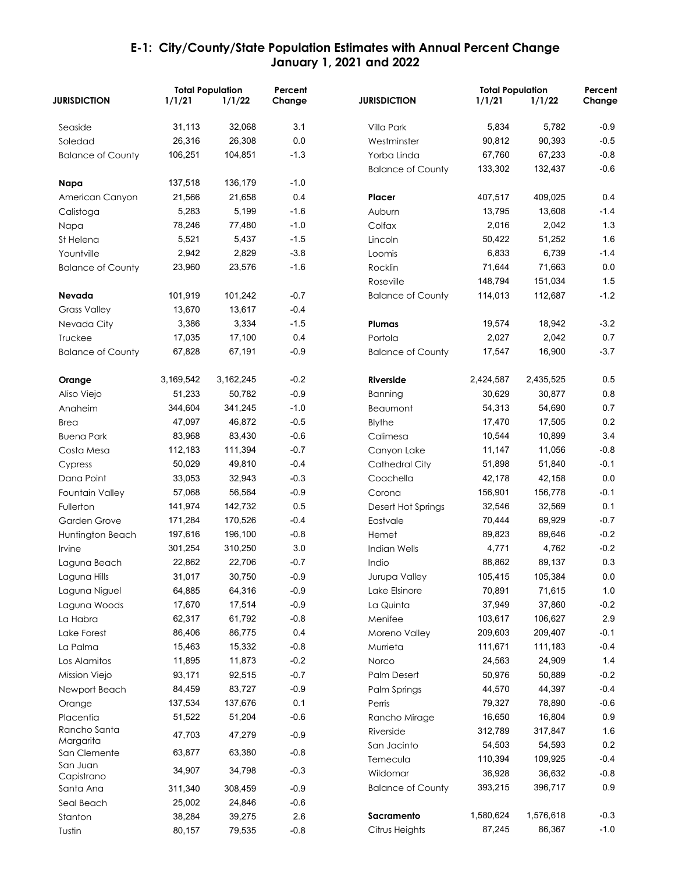|                           | <b>Total Population</b> |           | Percent |                          | <b>Total Population</b> |           | Percent |
|---------------------------|-------------------------|-----------|---------|--------------------------|-------------------------|-----------|---------|
| <b>JURISDICTION</b>       | 1/1/21                  | 1/1/22    | Change  | <b>JURISDICTION</b>      | 1/1/21                  | 1/1/22    | Change  |
| Seaside                   | 31,113                  | 32,068    | 3.1     | Villa Park               | 5,834                   | 5,782     | $-0.9$  |
| Soledad                   | 26,316                  | 26,308    | 0.0     | Westminster              | 90,812                  | 90,393    | $-0.5$  |
| <b>Balance of County</b>  | 106,251                 | 104,851   | $-1.3$  | Yorba Linda              | 67,760                  | 67,233    | $-0.8$  |
|                           |                         |           |         | <b>Balance of County</b> | 133,302                 | 132,437   | $-0.6$  |
| Napa                      | 137,518                 | 136,179   | $-1.0$  |                          |                         |           |         |
| American Canyon           | 21,566                  | 21,658    | 0.4     | Placer                   | 407,517                 | 409,025   | 0.4     |
| Calistoga                 | 5,283                   | 5,199     | $-1.6$  | Auburn                   | 13,795                  | 13,608    | $-1.4$  |
| Napa                      | 78,246                  | 77,480    | $-1.0$  | Colfax                   | 2,016                   | 2,042     | 1.3     |
| St Helena                 | 5,521                   | 5,437     | $-1.5$  | Lincoln                  | 50,422                  | 51,252    | 1.6     |
| Yountville                | 2,942                   | 2,829     | $-3.8$  | Loomis                   | 6,833                   | 6,739     | $-1.4$  |
| <b>Balance of County</b>  | 23,960                  | 23,576    | $-1.6$  | Rocklin                  | 71,644                  | 71,663    | 0.0     |
|                           |                         |           |         | Roseville                | 148,794                 | 151,034   | 1.5     |
| Nevada                    | 101,919                 | 101,242   | $-0.7$  | <b>Balance of County</b> | 114,013                 | 112,687   | $-1.2$  |
| <b>Grass Valley</b>       | 13,670                  | 13,617    | $-0.4$  |                          |                         |           |         |
| Nevada City               | 3,386                   | 3,334     | $-1.5$  | Plumas                   | 19,574                  | 18,942    | $-3.2$  |
| Truckee                   | 17,035                  | 17,100    | 0.4     | Portola                  | 2,027                   | 2,042     | 0.7     |
| <b>Balance of County</b>  | 67,828                  | 67,191    | $-0.9$  | <b>Balance of County</b> | 17,547                  | 16,900    | $-3.7$  |
| Orange                    | 3,169,542               | 3,162,245 | $-0.2$  | Riverside                | 2,424,587               | 2,435,525 | 0.5     |
| Aliso Viejo               | 51,233                  | 50,782    | $-0.9$  | Banning                  | 30,629                  | 30,877    | 0.8     |
| Anaheim                   | 344,604                 | 341,245   | $-1.0$  | Beaumont                 | 54,313                  | 54,690    | 0.7     |
| Brea                      | 47,097                  | 46,872    | $-0.5$  | <b>Blythe</b>            | 17,470                  | 17,505    | 0.2     |
| <b>Buena Park</b>         | 83,968                  | 83,430    | $-0.6$  | Calimesa                 | 10,544                  | 10,899    | 3.4     |
| Costa Mesa                | 112,183                 | 111,394   | $-0.7$  | Canyon Lake              | 11,147                  | 11,056    | $-0.8$  |
| Cypress                   | 50,029                  | 49,810    | $-0.4$  | Cathedral City           | 51,898                  | 51,840    | $-0.1$  |
| Dana Point                | 33,053                  | 32,943    | $-0.3$  | Coachella                | 42,178                  | 42,158    | 0.0     |
| Fountain Valley           | 57,068                  | 56,564    | $-0.9$  | Corona                   | 156,901                 | 156,778   | $-0.1$  |
| Fullerton                 | 141,974                 | 142,732   | 0.5     | Desert Hot Springs       | 32,546                  | 32,569    | 0.1     |
| Garden Grove              | 171,284                 | 170,526   | $-0.4$  | Eastvale                 | 70,444                  | 69,929    | $-0.7$  |
| Huntington Beach          | 197,616                 | 196,100   | $-0.8$  | Hemet                    | 89,823                  | 89,646    | $-0.2$  |
| Irvine                    | 301,254                 | 310,250   | 3.0     | Indian Wells             | 4,771                   | 4,762     | $-0.2$  |
| Laguna Beach              | 22,862                  | 22,706    | $-0.7$  | Indio                    | 88,862                  | 89,137    | 0.3     |
| Laguna Hills              | 31,017                  | 30,750    | $-0.9$  | Jurupa Valley            | 105,415                 | 105,384   | $0.0\,$ |
| Laguna Niguel             | 64,885                  | 64,316    | $-0.9$  | Lake Elsinore            | 70,891                  | 71,615    | 1.0     |
| Laguna Woods              | 17,670                  | 17,514    | $-0.9$  | La Quinta                | 37,949                  | 37,860    | $-0.2$  |
| La Habra                  | 62,317                  | 61,792    | $-0.8$  | Menifee                  | 103,617                 | 106,627   | 2.9     |
| Lake Forest               | 86,406                  | 86,775    | 0.4     | Moreno Valley            | 209,603                 | 209,407   | $-0.1$  |
| La Palma                  | 15,463                  | 15,332    | $-0.8$  | Murrieta                 | 111,671                 | 111,183   | $-0.4$  |
| Los Alamitos              | 11,895                  | 11,873    | $-0.2$  | Norco                    | 24,563                  | 24,909    | 1.4     |
| Mission Viejo             | 93,171                  | 92,515    | $-0.7$  | <b>Palm Desert</b>       | 50,976                  | 50,889    | $-0.2$  |
| Newport Beach             | 84,459                  | 83,727    | $-0.9$  | Palm Springs             | 44,570                  | 44,397    | $-0.4$  |
| Orange                    | 137,534                 | 137,676   | 0.1     | Perris                   | 79,327                  | 78,890    | $-0.6$  |
| Placentia                 | 51,522                  | 51,204    | $-0.6$  | Rancho Mirage            | 16,650                  | 16,804    | 0.9     |
| Rancho Santa              | 47,703                  | 47,279    | $-0.9$  | Riverside                | 312,789                 | 317,847   | 1.6     |
| Margarita<br>San Clemente | 63,877                  | 63,380    | $-0.8$  | San Jacinto              | 54,503                  | 54,593    | 0.2     |
| San Juan                  |                         |           |         | Temecula                 | 110,394                 | 109,925   | $-0.4$  |
| Capistrano                | 34,907                  | 34,798    | $-0.3$  | Wildomar                 | 36,928                  | 36,632    | $-0.8$  |
| Santa Ana                 | 311,340                 | 308,459   | $-0.9$  | <b>Balance of County</b> | 393,215                 | 396,717   | $0.9\,$ |
| Seal Beach                | 25,002                  | 24,846    | $-0.6$  |                          |                         |           |         |
| Stanton                   | 38,284                  | 39,275    | 2.6     | Sacramento               | 1,580,624               | 1,576,618 | $-0.3$  |
| Tustin                    | 80,157                  | 79,535    | $-0.8$  | Citrus Heights           | 87,245                  | 86,367    | $-1.0$  |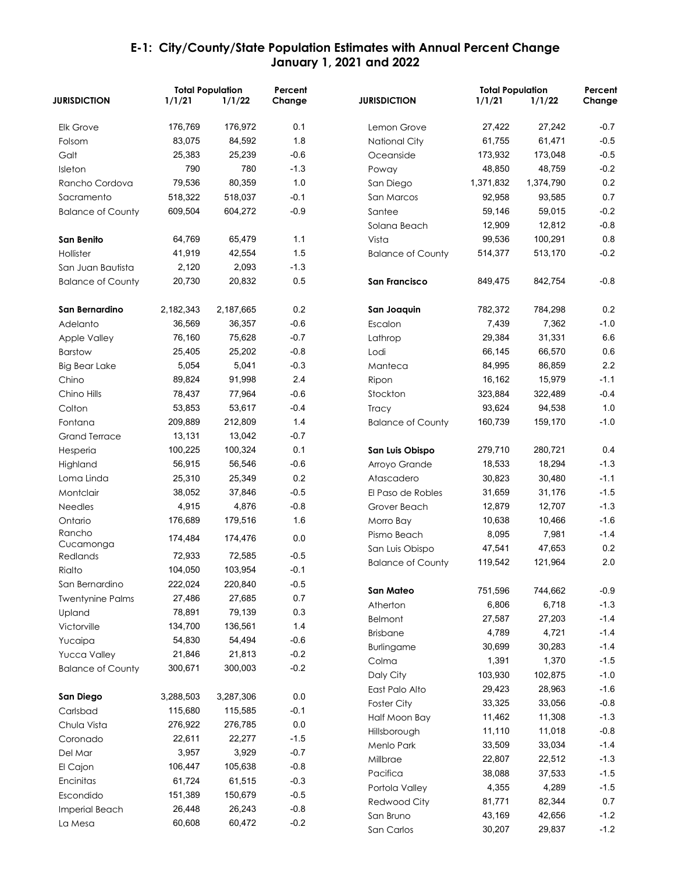|                          |           | <b>Total Population</b> | Percent |                          | <b>Total Population</b> |           | Percent          |
|--------------------------|-----------|-------------------------|---------|--------------------------|-------------------------|-----------|------------------|
| <b>JURISDICTION</b>      | 1/1/21    | 1/1/22                  | Change  | <b>JURISDICTION</b>      | 1/1/21                  | 1/1/22    | Change           |
| <b>Elk Grove</b>         | 176,769   | 176,972                 | 0.1     | Lemon Grove              | 27,422                  | 27,242    | $-0.7$           |
| Folsom                   | 83,075    | 84,592                  | 1.8     | National City            | 61,755                  | 61,471    | $-0.5$           |
| Galt                     | 25,383    | 25,239                  | $-0.6$  | Oceanside                | 173,932                 | 173,048   | $-0.5$           |
| Isleton                  | 790       | 780                     | $-1.3$  | Poway                    | 48,850                  | 48,759    | $-0.2$           |
| Rancho Cordova           | 79,536    | 80,359                  | 1.0     | San Diego                | 1,371,832               | 1,374,790 | 0.2              |
| Sacramento               | 518,322   | 518,037                 | $-0.1$  | San Marcos               | 92,958                  | 93,585    | 0.7              |
| <b>Balance of County</b> | 609,504   | 604,272                 | $-0.9$  | Santee                   | 59,146                  | 59,015    | $-0.2$           |
|                          |           |                         |         | Solana Beach             | 12,909                  | 12,812    | $-0.8$           |
| <b>San Benito</b>        | 64,769    | 65,479                  | 1.1     | Vista                    | 99,536                  | 100,291   | 0.8              |
| Hollister                | 41,919    | 42,554                  | 1.5     | <b>Balance of County</b> | 514,377                 | 513,170   | $-0.2$           |
| San Juan Bautista        | 2,120     | 2,093                   | $-1.3$  |                          |                         |           |                  |
| <b>Balance of County</b> | 20,730    | 20,832                  | 0.5     | <b>San Francisco</b>     | 849,475                 | 842,754   | $-0.8$           |
| San Bernardino           | 2,182,343 | 2,187,665               | 0.2     | San Joaquin              | 782,372                 | 784,298   | 0.2              |
| Adelanto                 | 36,569    | 36,357                  | $-0.6$  | Escalon                  | 7,439                   | 7,362     | $-1.0$           |
| <b>Apple Valley</b>      | 76,160    | 75,628                  | $-0.7$  | Lathrop                  | 29,384                  | 31,331    | 6.6              |
| <b>Barstow</b>           | 25,405    | 25,202                  | $-0.8$  | Lodi                     | 66,145                  | 66,570    | 0.6              |
| <b>Big Bear Lake</b>     | 5,054     | 5,041                   | $-0.3$  | Manteca                  | 84,995                  | 86,859    | 2.2              |
| Chino                    | 89,824    | 91,998                  | 2.4     | Ripon                    | 16,162                  | 15,979    | $-1.1$           |
| Chino Hills              | 78,437    | 77,964                  | $-0.6$  | Stockton                 | 323,884                 | 322,489   | $-0.4$           |
| Colton                   | 53,853    | 53,617                  | $-0.4$  | Tracy                    | 93,624                  | 94,538    | 1.0              |
| Fontana                  | 209,889   | 212,809                 | 1.4     | <b>Balance of County</b> | 160,739                 | 159,170   | $-1.0$           |
| <b>Grand Terrace</b>     | 13,131    | 13,042                  | $-0.7$  |                          |                         |           |                  |
| Hesperia                 | 100,225   | 100,324                 | 0.1     | San Luis Obispo          | 279,710                 | 280,721   | 0.4              |
| Highland                 | 56,915    | 56,546                  | $-0.6$  | Arroyo Grande            | 18,533                  | 18,294    | $-1.3$           |
| Loma Linda               | 25,310    | 25,349                  | 0.2     | Atascadero               | 30,823                  | 30,480    | $-1.1$           |
| Montclair                | 38,052    | 37,846                  | $-0.5$  | El Paso de Robles        | 31,659                  | 31,176    | $-1.5$           |
| <b>Needles</b>           | 4,915     | 4,876                   | $-0.8$  | Grover Beach             | 12,879                  | 12,707    | $-1.3$           |
| Ontario                  | 176,689   | 179,516                 | 1.6     | Morro Bay                | 10,638                  | 10,466    | $-1.6$           |
| Rancho                   |           |                         |         | Pismo Beach              | 8,095                   | 7,981     | $-1.4$           |
| Cucamonga                | 174,484   | 174,476                 | 0.0     | San Luis Obispo          | 47,541                  | 47,653    | 0.2              |
| Redlands                 | 72,933    | 72,585                  | $-0.5$  | <b>Balance of County</b> | 119,542                 | 121,964   | 2.0              |
| Rialto                   | 104,050   | 103,954                 | $-0.1$  |                          |                         |           |                  |
| San Bernardino           | 222,024   | 220,840                 | $-0.5$  | San Mateo                | 751,596                 | 744,662   | $-0.9$           |
| <b>Twentynine Palms</b>  | 27,486    | 27,685                  | 0.7     | Atherton                 | 6,806                   | 6,718     | $-1.3$           |
| Upland                   | 78,891    | 79,139                  | 0.3     | Belmont                  | 27,587                  | 27,203    | $-1.4$           |
| Victorville              | 134,700   | 136,561                 | 1.4     | <b>Brisbane</b>          | 4,789                   | 4,721     | $-1.4$           |
| Yucaipa                  | 54,830    | 54,494                  | $-0.6$  |                          | 30,699                  | 30,283    | $-1.4$           |
| Yucca Valley             | 21,846    | 21,813                  | $-0.2$  | Burlingame               | 1,391                   | 1,370     | $-1.5$           |
| <b>Balance of County</b> | 300,671   | 300,003                 | $-0.2$  | Colma                    | 103,930                 | 102,875   | $-1.0$           |
|                          |           |                         |         | Daly City                |                         |           |                  |
| San Diego                | 3,288,503 | 3,287,306               | 0.0     | East Palo Alto           | 29,423                  | 28,963    | $-1.6$<br>$-0.8$ |
| Carlsbad                 | 115,680   | 115,585                 | $-0.1$  | <b>Foster City</b>       | 33,325                  | 33,056    | $-1.3$           |
| Chula Vista              | 276,922   | 276,785                 | 0.0     | Half Moon Bay            | 11,462                  | 11,308    |                  |
| Coronado                 | 22,611    | 22,277                  | $-1.5$  | Hillsborough             | 11,110                  | 11,018    | $-0.8$           |
| Del Mar                  | 3,957     | 3,929                   | $-0.7$  | Menlo Park               | 33,509                  | 33,034    | $-1.4$           |
| El Cajon                 | 106,447   | 105,638                 | $-0.8$  | Millbrae                 | 22,807                  | 22,512    | $-1.3$           |
| Encinitas                | 61,724    | 61,515                  | $-0.3$  | Pacifica                 | 38,088                  | 37,533    | $-1.5$           |
| Escondido                | 151,389   | 150,679                 | $-0.5$  | Portola Valley           | 4,355                   | 4,289     | $-1.5$           |
| Imperial Beach           | 26,448    | 26,243                  | $-0.8$  | Redwood City             | 81,771                  | 82,344    | 0.7              |
| La Mesa                  | 60,608    | 60,472                  | $-0.2$  | San Bruno                | 43,169                  | 42,656    | $-1.2$           |
|                          |           |                         |         | San Carlos               | 30,207                  | 29,837    | $-1.2$           |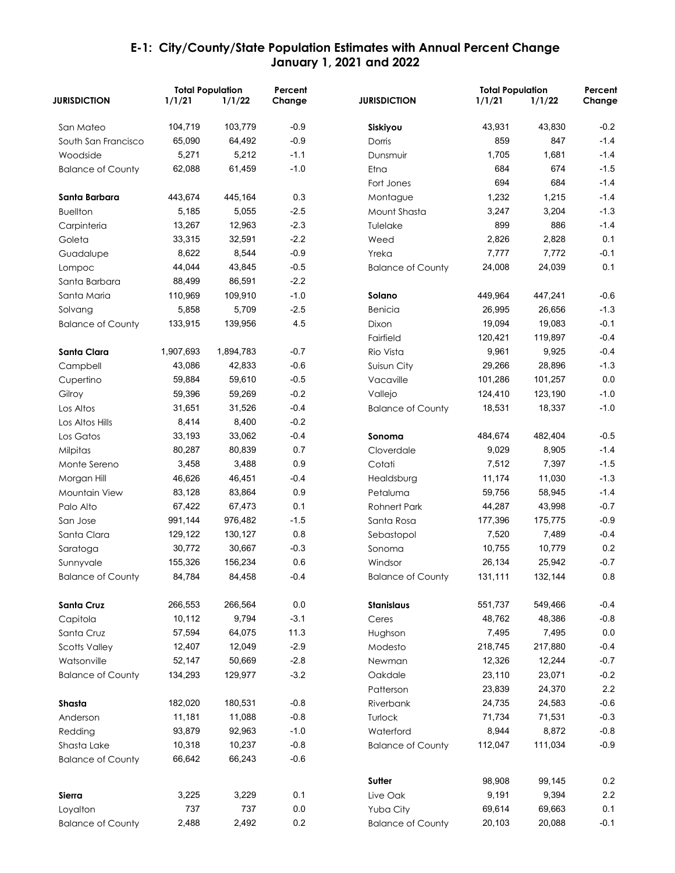|                          | <b>Total Population</b> |           | Percent |                          | <b>Total Population</b> |         | Percent |
|--------------------------|-------------------------|-----------|---------|--------------------------|-------------------------|---------|---------|
| <b>JURISDICTION</b>      | 1/1/21                  | 1/1/22    | Change  | <b>JURISDICTION</b>      | 1/1/21                  | 1/1/22  | Change  |
| San Mateo                | 104,719                 | 103,779   | $-0.9$  | Siskiyou                 | 43,931                  | 43,830  | $-0.2$  |
| South San Francisco      | 65,090                  | 64,492    | $-0.9$  | Dorris                   | 859                     | 847     | $-1.4$  |
| Woodside                 | 5,271                   | 5,212     | $-1.1$  | Dunsmuir                 | 1,705                   | 1,681   | $-1.4$  |
| <b>Balance of County</b> | 62,088                  | 61,459    | $-1.0$  | Etna                     | 684                     | 674     | $-1.5$  |
|                          |                         |           |         | Fort Jones               | 694                     | 684     | $-1.4$  |
| Santa Barbara            | 443,674                 | 445,164   | 0.3     | Montague                 | 1,232                   | 1,215   | $-1.4$  |
| <b>Buellton</b>          | 5,185                   | 5,055     | $-2.5$  | Mount Shasta             | 3,247                   | 3,204   | $-1.3$  |
| Carpinteria              | 13,267                  | 12,963    | $-2.3$  | Tulelake                 | 899                     | 886     | $-1.4$  |
| Goleta                   | 33,315                  | 32,591    | $-2.2$  | Weed                     | 2,826                   | 2,828   | 0.1     |
| Guadalupe                | 8,622                   | 8,544     | $-0.9$  | Yreka                    | 7,777                   | 7,772   | $-0.1$  |
| Lompoc                   | 44,044                  | 43,845    | $-0.5$  | <b>Balance of County</b> | 24,008                  | 24,039  | 0.1     |
| Santa Barbara            | 88,499                  | 86,591    | $-2.2$  |                          |                         |         |         |
| Santa Maria              | 110,969                 | 109,910   | $-1.0$  | Solano                   | 449,964                 | 447,241 | $-0.6$  |
| Solvang                  | 5,858                   | 5,709     | $-2.5$  | Benicia                  | 26,995                  | 26,656  | $-1.3$  |
| <b>Balance of County</b> | 133,915                 | 139,956   | 4.5     | Dixon                    | 19,094                  | 19,083  | $-0.1$  |
|                          |                         |           |         | Fairfield                | 120,421                 | 119,897 | $-0.4$  |
| Santa Clara              | 1,907,693               | 1,894,783 | $-0.7$  | Rio Vista                | 9,961                   | 9,925   | $-0.4$  |
| Campbell                 | 43,086                  | 42,833    | $-0.6$  | Suisun City              | 29,266                  | 28,896  | $-1.3$  |
| Cupertino                | 59,884                  | 59,610    | $-0.5$  | Vacaville                | 101,286                 | 101,257 | 0.0     |
| Gilroy                   | 59,396                  | 59,269    | $-0.2$  | Vallejo                  | 124,410                 | 123,190 | $-1.0$  |
| Los Altos                | 31,651                  | 31,526    | $-0.4$  | <b>Balance of County</b> | 18,531                  | 18,337  | $-1.0$  |
| Los Altos Hills          | 8,414                   | 8,400     | $-0.2$  |                          |                         |         |         |
| Los Gatos                | 33,193                  | 33,062    | $-0.4$  | Sonoma                   | 484,674                 | 482,404 | $-0.5$  |
| Milpitas                 | 80,287                  | 80,839    | 0.7     | Cloverdale               | 9,029                   | 8,905   | $-1.4$  |
| Monte Sereno             | 3,458                   | 3,488     | 0.9     | Cotati                   | 7,512                   | 7,397   | $-1.5$  |
| Morgan Hill              | 46,626                  | 46,451    | $-0.4$  | Healdsburg               | 11,174                  | 11,030  | $-1.3$  |
| Mountain View            | 83,128                  | 83,864    | 0.9     | Petaluma                 | 59,756                  | 58,945  | $-1.4$  |
| Palo Alto                | 67,422                  | 67,473    | 0.1     | <b>Rohnert Park</b>      | 44,287                  | 43,998  | $-0.7$  |
| San Jose                 | 991,144                 | 976,482   | $-1.5$  | Santa Rosa               | 177,396                 | 175,775 | $-0.9$  |
| Santa Clara              | 129,122                 | 130,127   | 0.8     | Sebastopol               | 7,520                   | 7,489   | $-0.4$  |
| Saratoga                 | 30,772                  | 30,667    | $-0.3$  | Sonoma                   | 10,755                  | 10,779  | 0.2     |
| Sunnyvale                | 155,326                 | 156,234   | 0.6     | Windsor                  | 26,134                  | 25,942  | $-0.7$  |
| <b>Balance of County</b> | 84,784                  | 84,458    | $-0.4$  | <b>Balance of County</b> | 131,111                 | 132,144 | 0.8     |
| Santa Cruz               | 266,553                 | 266,564   | 0.0     | Stanislaus               | 551,737                 | 549,466 | $-0.4$  |
| Capitola                 | 10,112                  | 9,794     | $-3.1$  | Ceres                    | 48,762                  | 48,386  | $-0.8$  |
| Santa Cruz               | 57,594                  | 64,075    | 11.3    | Hughson                  | 7,495                   | 7,495   | 0.0     |
| <b>Scotts Valley</b>     | 12,407                  | 12,049    | $-2.9$  | Modesto                  | 218,745                 | 217,880 | $-0.4$  |
| Watsonville              | 52,147                  | 50,669    | $-2.8$  | Newman                   | 12,326                  | 12,244  | $-0.7$  |
| <b>Balance of County</b> | 134,293                 | 129,977   | $-3.2$  | Oakdale                  | 23,110                  | 23,071  | $-0.2$  |
|                          |                         |           |         | Patterson                | 23,839                  | 24,370  | 2.2     |
| Shasta                   | 182,020                 | 180,531   | $-0.8$  | Riverbank                | 24,735                  | 24,583  | $-0.6$  |
| Anderson                 | 11,181                  | 11,088    | $-0.8$  | Turlock                  | 71,734                  | 71,531  | $-0.3$  |
| Redding                  | 93,879                  | 92,963    | $-1.0$  | Waterford                | 8,944                   | 8,872   | $-0.8$  |
| Shasta Lake              | 10,318                  | 10,237    | $-0.8$  | <b>Balance of County</b> | 112,047                 | 111,034 | $-0.9$  |
| <b>Balance of County</b> | 66,642                  | 66,243    | $-0.6$  |                          |                         |         |         |
|                          |                         |           |         | Sutter                   | 98,908                  | 99,145  | 0.2     |
| Sierra                   | 3,225                   | 3,229     | 0.1     | Live Oak                 | 9,191                   | 9,394   | 2.2     |
| Loyalton                 | 737                     | 737       | 0.0     | Yuba City                | 69,614                  | 69,663  | 0.1     |
| <b>Balance of County</b> | 2,488                   | 2,492     | 0.2     | <b>Balance of County</b> | 20,103                  | 20,088  | $-0.1$  |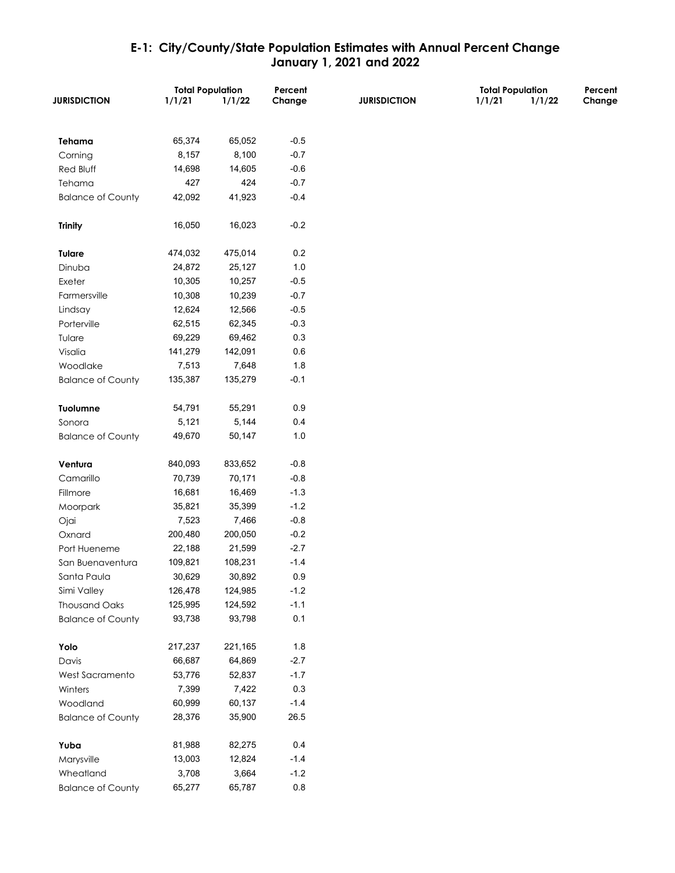|                          | <b>Total Population</b> |         | Percent | <b>Total Population</b> |        | Percent |        |
|--------------------------|-------------------------|---------|---------|-------------------------|--------|---------|--------|
| <b>JURISDICTION</b>      | 1/1/21                  | 1/1/22  | Change  | <b>JURISDICTION</b>     | 1/1/21 | 1/1/22  | Change |
|                          |                         |         |         |                         |        |         |        |
| Tehama                   | 65,374                  | 65,052  | $-0.5$  |                         |        |         |        |
| Corning                  | 8,157                   | 8,100   | $-0.7$  |                         |        |         |        |
| Red Bluff                | 14,698                  | 14,605  | $-0.6$  |                         |        |         |        |
| Tehama                   | 427                     | 424     | $-0.7$  |                         |        |         |        |
| <b>Balance of County</b> | 42,092                  | 41,923  | $-0.4$  |                         |        |         |        |
| <b>Trinity</b>           | 16,050                  | 16,023  | $-0.2$  |                         |        |         |        |
| <b>Tulare</b>            | 474,032                 | 475,014 | 0.2     |                         |        |         |        |
| Dinuba                   | 24,872                  | 25,127  | $1.0$   |                         |        |         |        |
| Exeter                   | 10,305                  | 10,257  | $-0.5$  |                         |        |         |        |
| Farmersville             | 10,308                  | 10,239  | $-0.7$  |                         |        |         |        |
| Lindsay                  | 12,624                  | 12,566  | $-0.5$  |                         |        |         |        |
| Porterville              | 62,515                  | 62,345  | $-0.3$  |                         |        |         |        |
| Tulare                   | 69,229                  | 69,462  | 0.3     |                         |        |         |        |
| Visalia                  | 141,279                 | 142,091 | 0.6     |                         |        |         |        |
| Woodlake                 | 7,513                   | 7,648   | 1.8     |                         |        |         |        |
| <b>Balance of County</b> | 135,387                 | 135,279 | $-0.1$  |                         |        |         |        |
|                          |                         |         |         |                         |        |         |        |
| Tuolumne                 | 54,791                  | 55,291  | 0.9     |                         |        |         |        |
| Sonora                   | 5,121                   | 5,144   | 0.4     |                         |        |         |        |
| <b>Balance of County</b> | 49,670                  | 50,147  | $1.0$   |                         |        |         |        |
|                          |                         |         |         |                         |        |         |        |
| Ventura                  | 840,093                 | 833,652 | $-0.8$  |                         |        |         |        |
| Camarillo                | 70,739                  | 70,171  | $-0.8$  |                         |        |         |        |
| Fillmore                 | 16,681                  | 16,469  | $-1.3$  |                         |        |         |        |
| Moorpark                 | 35,821                  | 35,399  | $-1.2$  |                         |        |         |        |
| Ojai                     | 7,523                   | 7,466   | $-0.8$  |                         |        |         |        |
| Oxnard                   | 200,480                 | 200,050 | $-0.2$  |                         |        |         |        |
| Port Hueneme             | 22,188                  | 21,599  | $-2.7$  |                         |        |         |        |
| San Buenaventura         | 109,821                 | 108,231 | $-1.4$  |                         |        |         |        |
| Santa Paula              | 30,629                  | 30,892  | 0.9     |                         |        |         |        |
| Simi Valley              | 126,478                 | 124,985 | $-1.2$  |                         |        |         |        |
| <b>Thousand Oaks</b>     | 125,995                 | 124,592 | $-1.1$  |                         |        |         |        |
| <b>Balance of County</b> | 93,738                  | 93,798  | 0.1     |                         |        |         |        |
|                          |                         |         |         |                         |        |         |        |
| Yolo                     | 217,237                 | 221,165 | 1.8     |                         |        |         |        |
| Davis                    | 66,687                  | 64,869  | $-2.7$  |                         |        |         |        |
| West Sacramento          | 53,776                  | 52,837  | $-1.7$  |                         |        |         |        |
| Winters                  | 7,399                   | 7,422   | $0.3\,$ |                         |        |         |        |
| Woodland                 | 60,999                  | 60,137  | $-1.4$  |                         |        |         |        |
| <b>Balance of County</b> | 28,376                  | 35,900  | 26.5    |                         |        |         |        |
|                          |                         |         |         |                         |        |         |        |
| Yuba                     | 81,988                  | 82,275  | 0.4     |                         |        |         |        |
| Marysville               | 13,003                  | 12,824  | $-1.4$  |                         |        |         |        |
| Wheatland                | 3,708                   | 3,664   | $-1.2$  |                         |        |         |        |
| <b>Balance of County</b> | 65,277                  | 65,787  | $0.8\,$ |                         |        |         |        |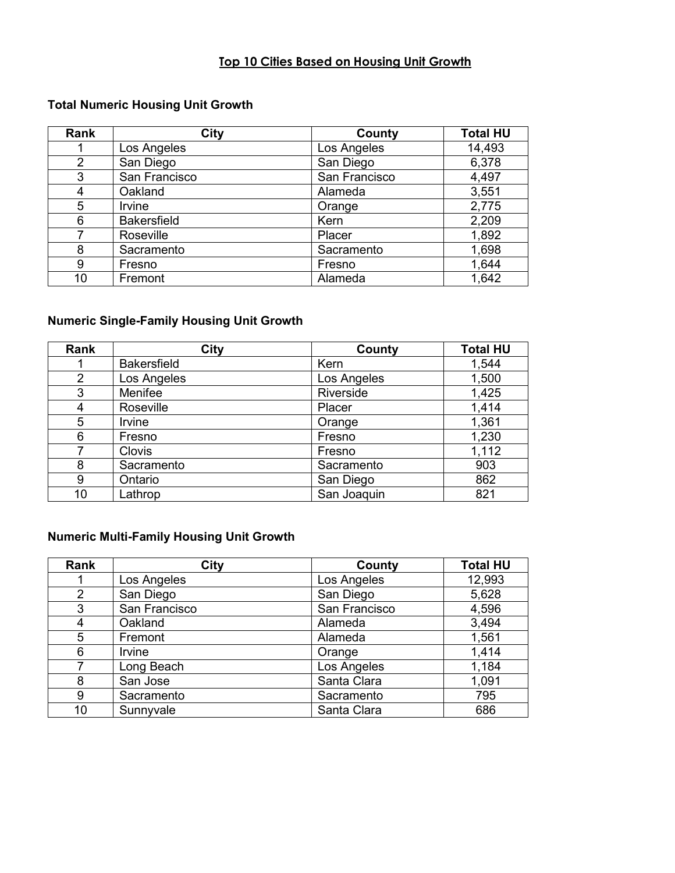# **Top 10 Cities Based on Housing Unit Growth**

# **Total Numeric Housing Unit Growth**

| Rank | City               | <b>County</b> | <b>Total HU</b> |
|------|--------------------|---------------|-----------------|
|      | Los Angeles        | Los Angeles   | 14,493          |
| 2    | San Diego          | San Diego     | 6,378           |
| 3    | San Francisco      | San Francisco | 4,497           |
| 4    | Oakland            | Alameda       | 3,551           |
| 5    | Irvine             | Orange        | 2,775           |
| 6    | <b>Bakersfield</b> | Kern          | 2,209           |
|      | Roseville          | Placer        | 1,892           |
| 8    | Sacramento         | Sacramento    | 1,698           |
| 9    | Fresno             | Fresno        | 1,644           |
| 10   | Fremont            | Alameda       | 1,642           |

# **Numeric Single-Family Housing Unit Growth**

| Rank           | City               | County      | <b>Total HU</b> |
|----------------|--------------------|-------------|-----------------|
|                | <b>Bakersfield</b> | Kern        | 1,544           |
| $\overline{2}$ | Los Angeles        | Los Angeles | 1,500           |
| 3              | Menifee            | Riverside   | 1,425           |
| 4              | Roseville          | Placer      | 1,414           |
| 5              | Irvine             | Orange      | 1,361           |
| 6              | Fresno             | Fresno      | 1,230           |
|                | <b>Clovis</b>      | Fresno      | 1,112           |
| 8              | Sacramento         | Sacramento  | 903             |
| 9              | Ontario            | San Diego   | 862             |
| 10             | Lathrop            | San Joaquin | 821             |

# **Numeric Multi-Family Housing Unit Growth**

| Rank           | <b>City</b>   | County        | <b>Total HU</b> |
|----------------|---------------|---------------|-----------------|
|                | Los Angeles   | Los Angeles   | 12,993          |
| $\overline{2}$ | San Diego     | San Diego     | 5,628           |
| 3              | San Francisco | San Francisco | 4,596           |
| 4              | Oakland       | Alameda       | 3,494           |
| 5              | Fremont       | Alameda       | 1,561           |
| 6              | Irvine        | Orange        | 1,414           |
| 7              | Long Beach    | Los Angeles   | 1,184           |
| 8              | San Jose      | Santa Clara   | 1,091           |
| 9              | Sacramento    | Sacramento    | 795             |
| 10             | Sunnyvale     | Santa Clara   | 686             |